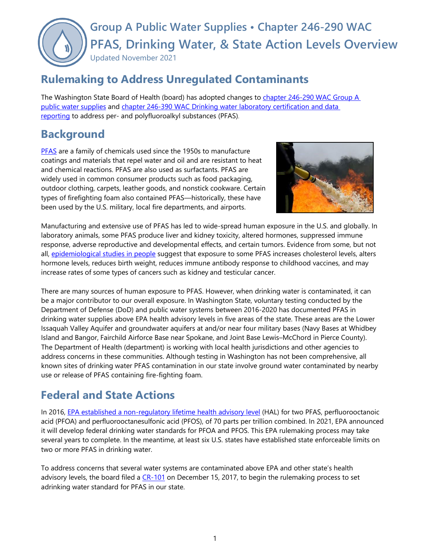# **Group A Public Water Supplies • Chapter 246-290 WAC PFAS, Drinking Water, & State Action Levels Overview** Updated November 2021

### **Rulemaking to Address Unregulated Contaminants**

The Washington State Board of Health (board) has adopted changes to [chapter 246-290 WAC Group A](https://apps.leg.wa.gov/wac/default.aspx?cite=246-290)  [public water supplies](https://apps.leg.wa.gov/wac/default.aspx?cite=246-290) and chapter 246-390 WAC Drinking water [laboratory certification](https://apps.leg.wa.gov/wac/default.aspx?cite=246-390) and data reporting to address per- and [polyfluoroalkyl substances \(PFAS\)](https://apps.leg.wa.gov/wac/default.aspx?cite=246-390).

### **Background**

**[PFAS](https://www.doh.wa.gov/CommunityandEnvironment/Contaminants/PFAS)** are a family of chemicals used since the 1950s to manufacture coatings and materials that repel water and oil and are resistant to heat and chemical reactions. PFAS are also used as surfactants. PFAS are widely used in common consumer products such as food packaging, outdoor clothing, carpets, leather goods, and nonstick cookware. Certain types of firefighting foam also contained PFAS—historically, these have been used by the U.S. military, local fire departments, and airports.



Manufacturing and extensive use of PFAS has led to wide-spread human exposure in the U.S. and globally. In laboratory animals, some PFAS produce liver and kidney toxicity, altered hormones, suppressed immune response, adverse reproductive and developmental effects, and certain tumors. Evidence from some, but not all, [epidemiological studies in people](https://www.atsdr.cdc.gov/pfas/health-effects/index.html) suggest that exposure to some PFAS increases cholesterol levels, alters hormone levels, reduces birth weight, reduces immune antibody response to childhood vaccines, and may increase rates of some types of cancers such as kidney and testicular cancer.

There are many sources of human exposure to PFAS. However, when drinking water is contaminated, it can be a major contributor to our overall exposure. In Washington State, voluntary testing conducted by the Department of Defense (DoD) and public water systems between 2016-2020 has documented PFAS in drinking water supplies above EPA health advisory levels in five areas of the state. These areas are the Lower Issaquah Valley Aquifer and groundwater aquifers at and/or near four military bases (Navy Bases at Whidbey Island and Bangor, Fairchild Airforce Base near Spokane, and Joint Base Lewis–McChord in Pierce County). The Department of Health (department) is working with local health jurisdictions and other agencies to address concerns in these communities. Although testing in Washington has not been comprehensive, all known sites of drinking water PFAS contamination in our state involve ground water contaminated by nearby use or release of PFAS containing fire-fighting foam.

# **Federal and State Actions**

In 2016, [EPA established a non-regulatory lifetime health advisory level](https://www.epa.gov/ground-water-and-drinking-water/drinking-water-health-advisories-pfoa-and-pfos) (HAL) for two PFAS, perfluorooctanoic acid (PFOA) and perfluorooctanesulfonic acid (PFOS), of 70 parts per trillion combined. In 2021, EPA announced it will develop federal drinking water standards for PFOA and PFOS. This EPA rulemaking process may take several years to complete. In the meantime, at least six U.S. states have established state enforceable limits on two or more PFAS in drinking water.

To address concerns that several water systems are contaminated above EPA and other state's health advisory levels, the board filed a  $CR-101$  on December 15, 2017, to begin the rulemaking process to set adrinking water standard for PFAS in our state.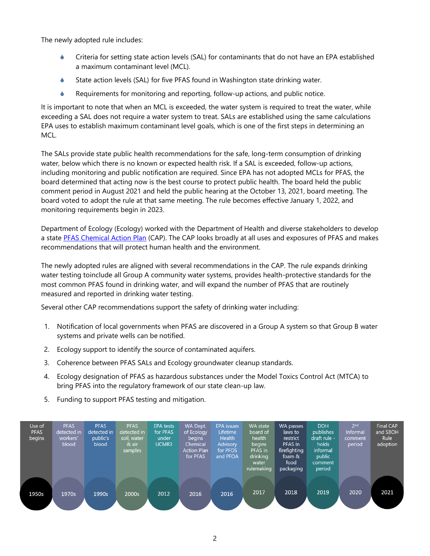The newly adopted rule includes:

- Criteria for setting state action levels (SAL) for contaminants that do not have an EPA established a maximum contaminant level (MCL).
- State action levels (SAL) for five PFAS found in Washington state drinking water.
- Requirements for monitoring and reporting, follow-up actions, and public notice.

It is important to note that when an MCL is exceeded, the water system is required to treat the water, while exceeding a SAL does not require a water system to treat. SALs are established using the same calculations EPA uses to establish maximum contaminant level goals, which is one of the first steps in determining an MCL.

The SALs provide state public health recommendations for the safe, long-term consumption of drinking water, below which there is no known or expected health risk. If a SAL is exceeded, follow-up actions, including monitoring and public notification are required. Since EPA has not adopted MCLs for PFAS, the board determined that acting now is the best course to protect public health. The board held the public comment period in August 2021 and held the public hearing at the October 13, 2021, board meeting. The board voted to adopt the rule at that same meeting. The rule becomes effective January 1, 2022, and monitoring requirements begin in 2023.

Department of Ecology (Ecology) worked with the Department of Health and diverse stakeholders to develop a state [PFAS Chemical Action Plan](https://apps.ecology.wa.gov/publications/documents/2104048.pdf) (CAP). The CAP looks broadly at all uses and exposures of PFAS and makes recommendations that will protect human health and the environment.

The newly adopted rules are aligned with several recommendations in the CAP. The rule expands drinking water testing toinclude all Group A community water systems, provides health-protective standards for the most common PFAS found in drinking water, and will expand the number of PFAS that are routinely measured and reported in drinking water testing.

Several other CAP recommendations support the safety of drinking water including:

- 1. Notification of local governments when PFAS are discovered in a Group A system so that Group B water systems and private wells can be notified.
- 2. Ecology support to identify the source of contaminated aquifers.
- 3. Coherence between PFAS SALs and Ecology groundwater cleanup standards.
- 4. Ecology designation of PFAS as hazardous substances under the Model Toxics Control Act (MTCA) to bring PFAS into the regulatory framework of our state clean-up law.
- 5. Funding to support PFAS testing and mitigation.